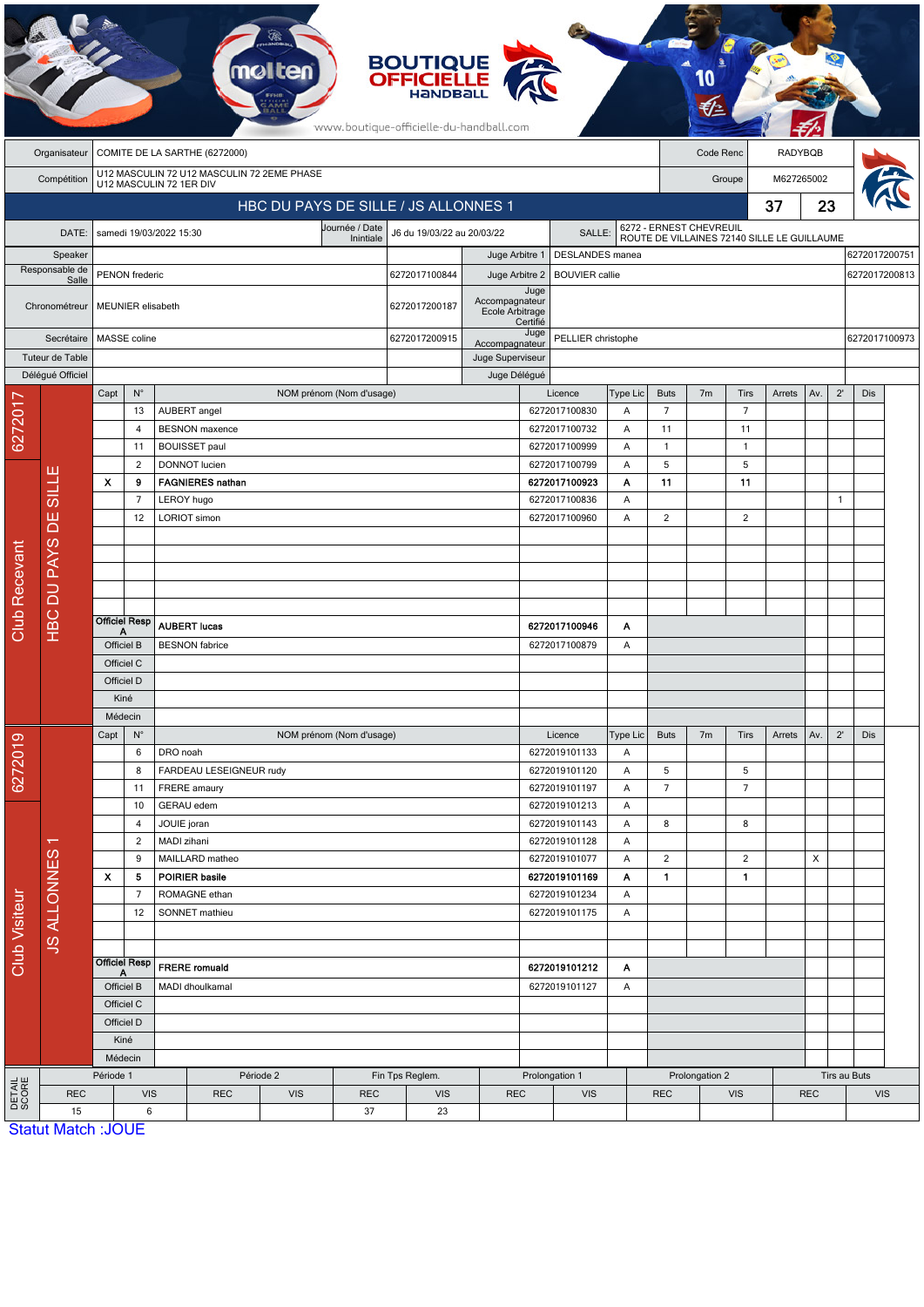| <b>BOUTIQUE</b><br><b>OFFICIELLE</b><br>HaNDBal<br>www.boutique-officielle-du-handball.com |                           |                                                                       |                           |                                         |                                          |                              |                          |                                      |                                          |                |                                          |               |                                |                                                                        |                                |            |                                |              |     |  |
|--------------------------------------------------------------------------------------------|---------------------------|-----------------------------------------------------------------------|---------------------------|-----------------------------------------|------------------------------------------|------------------------------|--------------------------|--------------------------------------|------------------------------------------|----------------|------------------------------------------|---------------|--------------------------------|------------------------------------------------------------------------|--------------------------------|------------|--------------------------------|--------------|-----|--|
|                                                                                            | Organisateur              | COMITE DE LA SARTHE (6272000)                                         |                           |                                         |                                          |                              |                          |                                      |                                          |                | <b>RADYBQB</b><br>Code Renc              |               |                                |                                                                        |                                |            |                                |              |     |  |
|                                                                                            | Compétition               | U12 MASCULIN 72 U12 MASCULIN 72 2EME PHASE<br>U12 MASCULIN 72 1ER DIV |                           |                                         |                                          |                              |                          |                                      |                                          |                |                                          |               |                                | M627265002<br>Groupe                                                   |                                |            |                                |              |     |  |
|                                                                                            |                           | HBC DU PAYS DE SILLE / JS ALLONNES 1                                  |                           |                                         |                                          |                              |                          |                                      |                                          | 37             |                                          |               |                                |                                                                        |                                | 23         |                                |              |     |  |
|                                                                                            | DATE:                     |                                                                       |                           |                                         |                                          |                              | Journée / Date           | J6 du 19/03/22 au 20/03/22<br>SALLE: |                                          |                |                                          |               |                                |                                                                        |                                |            |                                |              |     |  |
|                                                                                            |                           |                                                                       |                           | samedi 19/03/2022 15:30                 |                                          |                              | Inintiale                |                                      | Juge Arbitre 1                           |                |                                          |               |                                | 6272 - ERNEST CHEVREUIL<br>ROUTE DE VILLAINES 72140 SILLE LE GUILLAUME |                                |            |                                |              |     |  |
| Speaker<br>Responsable de                                                                  |                           | PENON frederic                                                        |                           |                                         |                                          |                              |                          | 6272017100844                        | Juge Arbitre 2                           |                | DESLANDES manea<br><b>BOUVIER</b> callie |               |                                |                                                                        |                                |            | 6272017200751<br>6272017200813 |              |     |  |
|                                                                                            | Salle<br>Chronométreur    |                                                                       | MEUNIER elisabeth         |                                         |                                          |                              | 6272017200187            | Accompagnateur<br>Ecole Arbitrage    | Juge<br>Certifié                         |                |                                          |               |                                |                                                                        |                                |            |                                |              |     |  |
|                                                                                            | Secrétaire                |                                                                       | MASSE coline              |                                         |                                          |                              | 6272017200915            | Accompagnateur                       | Juge<br>PELLIER christophe               |                |                                          |               |                                |                                                                        |                                |            | 6272017100973                  |              |     |  |
| Tuteur de Table                                                                            |                           |                                                                       |                           |                                         |                                          |                              | Juge Superviseur         |                                      |                                          |                |                                          |               |                                |                                                                        |                                |            |                                |              |     |  |
|                                                                                            | Délégué Officiel          |                                                                       |                           |                                         | Juge Délégué<br>NOM prénom (Nom d'usage) |                              |                          |                                      |                                          |                |                                          |               |                                |                                                                        |                                |            |                                |              |     |  |
|                                                                                            |                           | Capt                                                                  | $N^{\circ}$<br>13         |                                         | AUBERT angel                             |                              |                          |                                      |                                          |                | Licence<br>6272017100830                 | Type Lic<br>Α | <b>Buts</b><br>$\overline{7}$  | 7 <sub>m</sub>                                                         | Tirs<br>$\overline{7}$         | Arrets     | Av.                            | $2^{\prime}$ | Dis |  |
| 6272017                                                                                    |                           |                                                                       | $\overline{4}$            |                                         | <b>BESNON</b> maxence                    |                              |                          |                                      |                                          |                | 6272017100732                            | A             | 11                             |                                                                        | 11                             |            |                                |              |     |  |
|                                                                                            |                           |                                                                       | 11                        |                                         | <b>BOUISSET paul</b>                     |                              |                          |                                      |                                          |                | 6272017100999                            | Α             | $\mathbf{1}$                   |                                                                        | $\mathbf{1}$                   |            |                                |              |     |  |
|                                                                                            | щ                         |                                                                       | 2                         |                                         | <b>DONNOT</b> lucien                     |                              |                          |                                      |                                          |                | 6272017100799                            | Α             | 5                              |                                                                        | 5                              |            |                                |              |     |  |
|                                                                                            | <b>TTIIS</b>              | $\boldsymbol{\mathsf{x}}$                                             | 9<br>$\overline{7}$       | LEROY hugo                              | <b>FAGNIERES nathan</b>                  |                              |                          |                                      |                                          |                | 6272017100923<br>6272017100836           | Α<br>Α        | 11                             |                                                                        | 11                             |            |                                | $\mathbf{1}$ |     |  |
|                                                                                            | ЪË                        |                                                                       | 12                        |                                         | LORIOT simon                             |                              |                          |                                      |                                          |                | 6272017100960                            | Α             | $\overline{2}$                 |                                                                        | $\overline{2}$                 |            |                                |              |     |  |
|                                                                                            |                           |                                                                       |                           |                                         |                                          |                              |                          |                                      |                                          |                |                                          |               |                                |                                                                        |                                |            |                                |              |     |  |
|                                                                                            |                           |                                                                       |                           |                                         |                                          |                              |                          |                                      |                                          |                |                                          |               |                                |                                                                        |                                |            |                                |              |     |  |
|                                                                                            |                           |                                                                       |                           |                                         |                                          |                              |                          |                                      |                                          |                |                                          |               |                                |                                                                        |                                |            |                                |              |     |  |
|                                                                                            |                           |                                                                       |                           |                                         |                                          |                              |                          |                                      |                                          |                |                                          |               |                                |                                                                        |                                |            |                                |              |     |  |
| <b>Club Recevant</b>                                                                       | HBC DU PAYS               |                                                                       | <b>Officiel Resp</b><br>Α |                                         | <b>AUBERT lucas</b>                      |                              |                          |                                      |                                          |                | 6272017100946                            | Α             |                                |                                                                        |                                |            |                                |              |     |  |
|                                                                                            |                           | Officiel B                                                            |                           | <b>BESNON</b> fabrice                   |                                          |                              |                          |                                      |                                          | 6272017100879  | Α                                        |               |                                |                                                                        |                                |            |                                |              |     |  |
|                                                                                            |                           | Officiel C                                                            |                           |                                         |                                          |                              |                          |                                      |                                          |                |                                          |               |                                |                                                                        |                                |            |                                |              |     |  |
|                                                                                            |                           | Officiel D<br>Kiné                                                    |                           |                                         |                                          |                              |                          |                                      |                                          |                |                                          |               |                                |                                                                        |                                |            |                                |              |     |  |
|                                                                                            |                           | Médecin                                                               |                           |                                         |                                          |                              |                          |                                      |                                          |                |                                          |               |                                |                                                                        |                                |            |                                |              |     |  |
|                                                                                            |                           | Capt                                                                  | $\mathsf{N}^\circ$        |                                         |                                          | NOM prénom (Nom d'usage)     |                          |                                      |                                          |                | Licence                                  | Type Lic      | <b>Buts</b>                    | 7 <sub>m</sub>                                                         | <b>Tirs</b>                    | Arrets     | Av.                            | $2^{\prime}$ | Dis |  |
|                                                                                            |                           |                                                                       | 6                         | DRO noah                                |                                          |                              |                          |                                      |                                          |                | 6272019101133                            | Α             |                                |                                                                        |                                |            |                                |              |     |  |
| 6272019<br>Club Visiteur                                                                   |                           |                                                                       | 8<br>11                   |                                         | FARDEAU LESEIGNEUR rudy<br>FRERE amaury  |                              |                          |                                      |                                          |                | 6272019101120<br>6272019101197           | Α<br>Α        | $\mathbf 5$<br>$\overline{7}$  |                                                                        | 5<br>$\overline{7}$            |            |                                |              |     |  |
|                                                                                            |                           |                                                                       | 10                        | GERAU edem                              |                                          |                              |                          |                                      |                                          |                | 6272019101213                            | A             |                                |                                                                        |                                |            |                                |              |     |  |
|                                                                                            |                           |                                                                       | 4                         | JOUIE joran                             |                                          |                              |                          |                                      |                                          |                | 6272019101143                            | A             | 8                              |                                                                        | 8                              |            |                                |              |     |  |
|                                                                                            | $\mathbf{v}$              |                                                                       | $\overline{2}$            | MADI zihani                             |                                          |                              |                          |                                      |                                          |                | 6272019101128                            | Α             |                                |                                                                        |                                |            |                                |              |     |  |
|                                                                                            |                           | $\boldsymbol{\mathsf{x}}$                                             | 9<br>5                    |                                         | MAILLARD matheo<br>POIRIER basile        |                              |                          |                                      |                                          |                | 6272019101077<br>6272019101169           | Α<br>A        | $\overline{2}$<br>$\mathbf{1}$ |                                                                        | $\overline{2}$<br>$\mathbf{1}$ |            | X                              |              |     |  |
|                                                                                            |                           |                                                                       | $\overline{7}$            |                                         | ROMAGNE ethan                            |                              |                          |                                      |                                          |                | 6272019101234                            | A             |                                |                                                                        |                                |            |                                |              |     |  |
|                                                                                            | <b>JS ALLONNES</b>        |                                                                       | 12                        |                                         | SONNET mathieu                           |                              |                          |                                      |                                          |                | 6272019101175                            | Α             |                                |                                                                        |                                |            |                                |              |     |  |
|                                                                                            |                           |                                                                       |                           |                                         |                                          |                              |                          |                                      |                                          |                |                                          |               |                                |                                                                        |                                |            |                                |              |     |  |
|                                                                                            |                           |                                                                       | <b>Officiel Resp</b>      |                                         |                                          |                              |                          |                                      |                                          |                |                                          |               |                                |                                                                        |                                |            |                                |              |     |  |
|                                                                                            |                           | A<br>Officiel B                                                       |                           | <b>FRERE</b> romuald<br>MADI dhoulkamal |                                          |                              |                          |                                      | 6272019101212<br>A<br>6272019101127<br>A |                |                                          |               |                                |                                                                        |                                |            |                                |              |     |  |
|                                                                                            |                           | Officiel C                                                            |                           |                                         |                                          |                              |                          |                                      |                                          |                |                                          |               |                                |                                                                        |                                |            |                                |              |     |  |
|                                                                                            |                           | Officiel D                                                            |                           |                                         |                                          |                              |                          |                                      |                                          |                |                                          |               |                                |                                                                        |                                |            |                                |              |     |  |
|                                                                                            |                           |                                                                       | Kiné                      |                                         |                                          |                              |                          |                                      |                                          |                |                                          |               |                                |                                                                        |                                |            |                                |              |     |  |
|                                                                                            |                           | Médecin<br>Période 1                                                  |                           |                                         |                                          | Période 2<br>Fin Tps Reglem. |                          |                                      |                                          | Prolongation 1 |                                          |               |                                | Prolongation 2                                                         |                                |            | Tirs au Buts                   |              |     |  |
| <b>DETAIL</b><br>SCORE                                                                     | <b>REC</b>                | <b>VIS</b>                                                            |                           |                                         | <b>VIS</b><br><b>REC</b><br><b>REC</b>   |                              | <b>VIS</b><br><b>REC</b> |                                      | <b>VIS</b>                               |                |                                          | <b>REC</b>    | <b>VIS</b>                     |                                                                        |                                | <b>REC</b> |                                | <b>VIS</b>   |     |  |
|                                                                                            | 15                        | 6                                                                     |                           | 37                                      |                                          | 23                           |                          |                                      |                                          |                |                                          |               |                                |                                                                        |                                |            |                                |              |     |  |
|                                                                                            | <b>Statut Match: JOUE</b> |                                                                       |                           |                                         |                                          |                              |                          |                                      |                                          |                |                                          |               |                                |                                                                        |                                |            |                                |              |     |  |